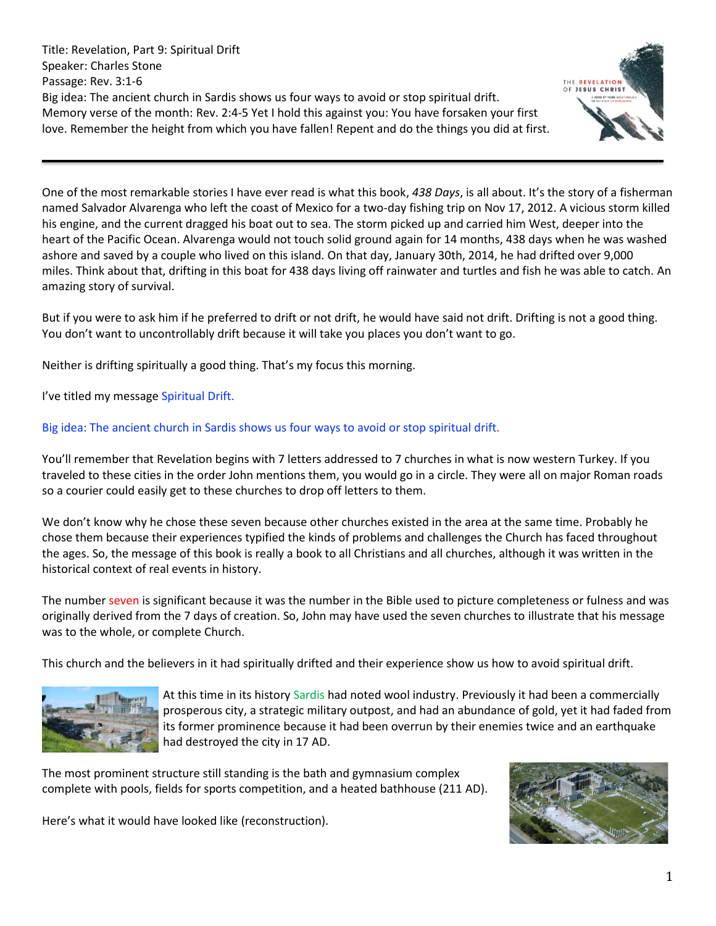Title: Revelation, Part 9: Spiritual Drift Speaker: Charles Stone Passage: Rev. 3:1-6 Big idea: The ancient church in Sardis shows us four ways to avoid or stop spiritual drift. Memory verse of the month: Rev. 2:4-5 Yet I hold this against you: You have forsaken your first love. Remember the height from which you have fallen! Repent and do the things you did at first.



One of the most remarkable stories I have ever read is what this book, *438 Days*, is all about. It's the story of a fisherman named Salvador Alvarenga who left the coast of Mexico for a two-day fishing trip on Nov 17, 2012. A vicious storm killed his engine, and the current dragged his boat out to sea. The storm picked up and carried him West, deeper into the heart of the Pacific Ocean. Alvarenga would not touch solid ground again for 14 months, 438 days when he was washed ashore and saved by a couple who lived on this island. On that day, January 30th, 2014, he had drifted over 9,000 miles. Think about that, drifting in this boat for 438 days living off rainwater and turtles and fish he was able to catch. An amazing story of survival.

But if you were to ask him if he preferred to drift or not drift, he would have said not drift. Drifting is not a good thing. You don't want to uncontrollably drift because it will take you places you don't want to go.

Neither is drifting spiritually a good thing. That's my focus this morning.

I've titled my message Spiritual Drift.

# Big idea: The ancient church in Sardis shows us four ways to avoid or stop spiritual drift.

You'll remember that Revelation begins with 7 letters addressed to 7 churches in what is now western Turkey. If you traveled to these cities in the order John mentions them, you would go in a circle. They were all on major Roman roads so a courier could easily get to these churches to drop off letters to them.

We don't know why he chose these seven because other churches existed in the area at the same time. Probably he chose them because their experiences typified the kinds of problems and challenges the Church has faced throughout the ages. So, the message of this book is really a book to all Christians and all churches, although it was written in the historical context of real events in history.

The number seven is significant because it was the number in the Bible used to picture completeness or fulness and was originally derived from the 7 days of creation. So, John may have used the seven churches to illustrate that his message was to the whole, or complete Church.

This church and the believers in it had spiritually drifted and their experience show us how to avoid spiritual drift.



At this time in its history Sardis had noted wool industry. Previously it had been a commercially prosperous city, a strategic military outpost, and had an abundance of gold, yet it had faded from its former prominence because it had been overrun by their enemies twice and an earthquake had destroyed the city in 17 AD.

The most prominent structure still standing is the bath and gymnasium complex complete with pools, fields for sports competition, and a heated bathhouse (211 AD).

Here's what it would have looked like (reconstruction).

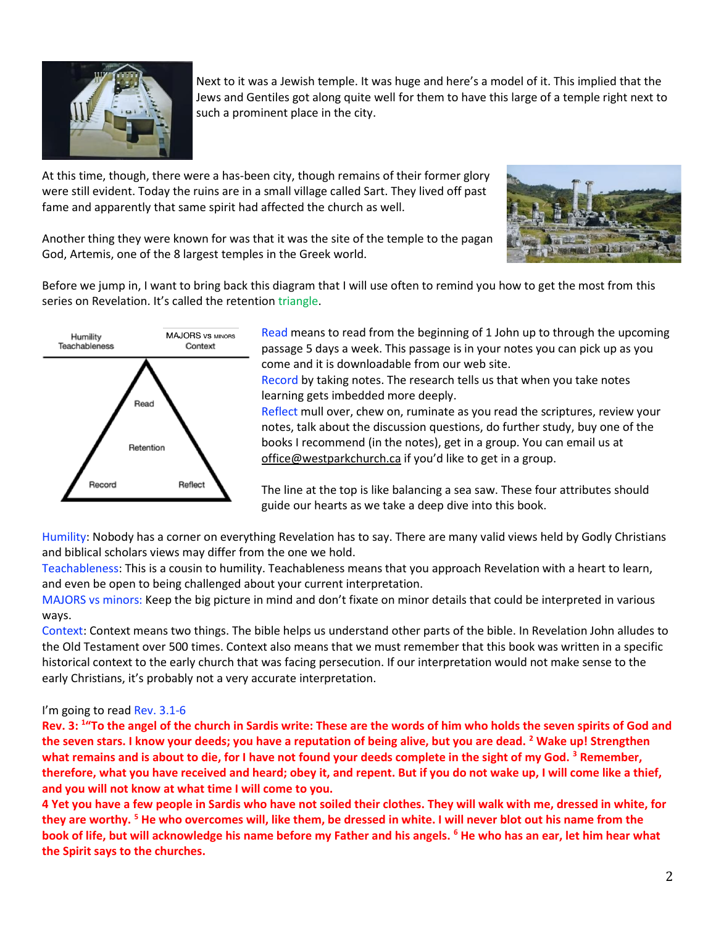

Next to it was a Jewish temple. It was huge and here's a model of it. This implied that the Jews and Gentiles got along quite well for them to have this large of a temple right next to such a prominent place in the city.

At this time, though, there were a has-been city, though remains of their former glory were still evident. Today the ruins are in a small village called Sart. They lived off past fame and apparently that same spirit had affected the church as well.



Another thing they were known for was that it was the site of the temple to the pagan God, Artemis, one of the 8 largest temples in the Greek world.

Before we jump in, I want to bring back this diagram that I will use often to remind you how to get the most from this series on Revelation. It's called the retention triangle.



Read means to read from the beginning of 1 John up to through the upcoming passage 5 days a week. This passage is in your notes you can pick up as you come and it is downloadable from our web site.

Record by taking notes. The research tells us that when you take notes learning gets imbedded more deeply.

Reflect mull over, chew on, ruminate as you read the scriptures, review your notes, talk about the discussion questions, do further study, buy one of the books I recommend (in the notes), get in a group. You can email us at [office@westparkchurch.ca](mailto:office@westparkchurch.ca) if you'd like to get in a group.

The line at the top is like balancing a sea saw. These four attributes should guide our hearts as we take a deep dive into this book.

Humility: Nobody has a corner on everything Revelation has to say. There are many valid views held by Godly Christians and biblical scholars views may differ from the one we hold.

Teachableness: This is a cousin to humility. Teachableness means that you approach Revelation with a heart to learn, and even be open to being challenged about your current interpretation.

MAJORS vs minors: Keep the big picture in mind and don't fixate on minor details that could be interpreted in various ways.

Context: Context means two things. The bible helps us understand other parts of the bible. In Revelation John alludes to the Old Testament over 500 times. Context also means that we must remember that this book was written in a specific historical context to the early church that was facing persecution. If our interpretation would not make sense to the early Christians, it's probably not a very accurate interpretation.

## I'm going to read Rev. 3.1-6

**Rev. 3: <sup>1</sup> "To the angel of the church in Sardis write: These are the words of him who holds the seven spirits of God and the seven stars. I know your deeds; you have a reputation of being alive, but you are dead. <sup>2</sup> Wake up! Strengthen what remains and is about to die, for I have not found your deeds complete in the sight of my God. <sup>3</sup> Remember, therefore, what you have received and heard; obey it, and repent. But if you do not wake up, I will come like a thief, and you will not know at what time I will come to you.**

**4 Yet you have a few people in Sardis who have not soiled their clothes. They will walk with me, dressed in white, for they are worthy. <sup>5</sup> He who overcomes will, like them, be dressed in white. I will never blot out his name from the book of life, but will acknowledge his name before my Father and his angels. <sup>6</sup> He who has an ear, let him hear what the Spirit says to the churches.**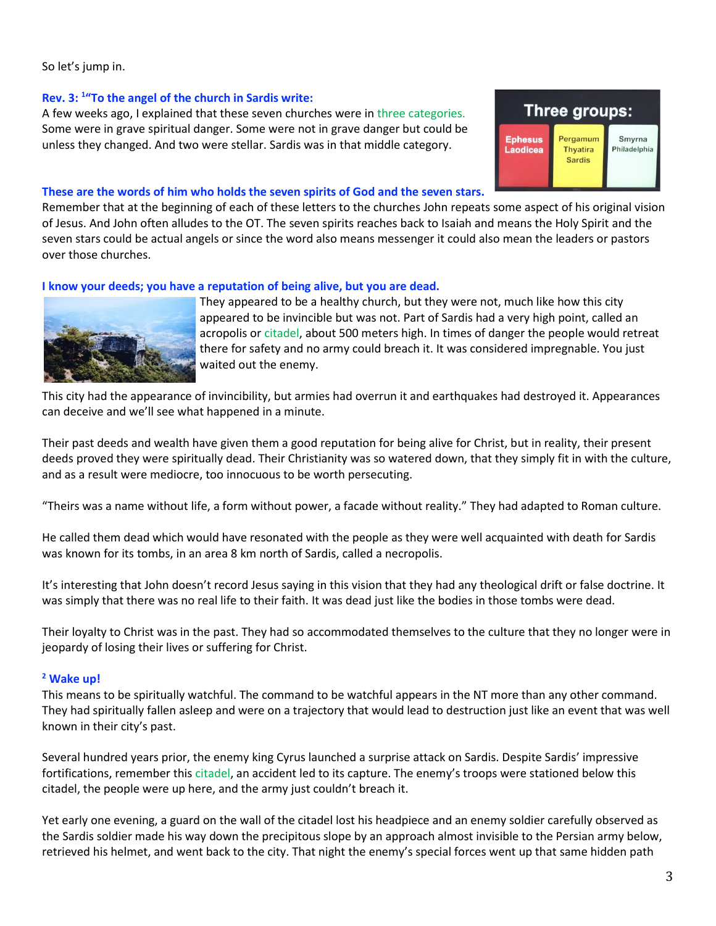## So let's jump in.

### **Rev. 3: <sup>1</sup> "To the angel of the church in Sardis write:**

A few weeks ago, I explained that these seven churches were in three categories. Some were in grave spiritual danger. Some were not in grave danger but could be unless they changed. And two were stellar. Sardis was in that middle category.

### **These are the words of him who holds the seven spirits of God and the seven stars.**

Remember that at the beginning of each of these letters to the churches John repeats some aspect of his original vision of Jesus. And John often alludes to the OT. The seven spirits reaches back to Isaiah and means the Holy Spirit and the seven stars could be actual angels or since the word also means messenger it could also mean the leaders or pastors over those churches.

### **I know your deeds; you have a reputation of being alive, but you are dead.**



They appeared to be a healthy church, but they were not, much like how this city appeared to be invincible but was not. Part of Sardis had a very high point, called an acropolis or citadel, about 500 meters high. In times of danger the people would retreat there for safety and no army could breach it. It was considered impregnable. You just waited out the enemy.

Three groups:

Pergamum

**Thyatira** 

Sardis

Smyrna

hiladelphia

**Ephesus** 

Laodicea

This city had the appearance of invincibility, but armies had overrun it and earthquakes had destroyed it. Appearances can deceive and we'll see what happened in a minute.

Their past deeds and wealth have given them a good reputation for being alive for Christ, but in reality, their present deeds proved they were spiritually dead. Their Christianity was so watered down, that they simply fit in with the culture, and as a result were mediocre, too innocuous to be worth persecuting.

"Theirs was a name without life, a form without power, a facade without reality." They had adapted to Roman culture.

He called them dead which would have resonated with the people as they were well acquainted with death for Sardis was known for its tombs, in an area 8 km north of Sardis, called a necropolis.

It's interesting that John doesn't record Jesus saying in this vision that they had any theological drift or false doctrine. It was simply that there was no real life to their faith. It was dead just like the bodies in those tombs were dead.

Their loyalty to Christ was in the past. They had so accommodated themselves to the culture that they no longer were in jeopardy of losing their lives or suffering for Christ.

#### **<sup>2</sup> Wake up!**

This means to be spiritually watchful. The command to be watchful appears in the NT more than any other command. They had spiritually fallen asleep and were on a trajectory that would lead to destruction just like an event that was well known in their city's past.

Several hundred years prior, the enemy king Cyrus launched a surprise attack on Sardis. Despite Sardis' impressive fortifications, remember this citadel, an accident led to its capture. The enemy's troops were stationed below this citadel, the people were up here, and the army just couldn't breach it.

Yet early one evening, a guard on the wall of the citadel lost his headpiece and an enemy soldier carefully observed as the Sardis soldier made his way down the precipitous slope by an approach almost invisible to the Persian army below, retrieved his helmet, and went back to the city. That night the enemy's special forces went up that same hidden path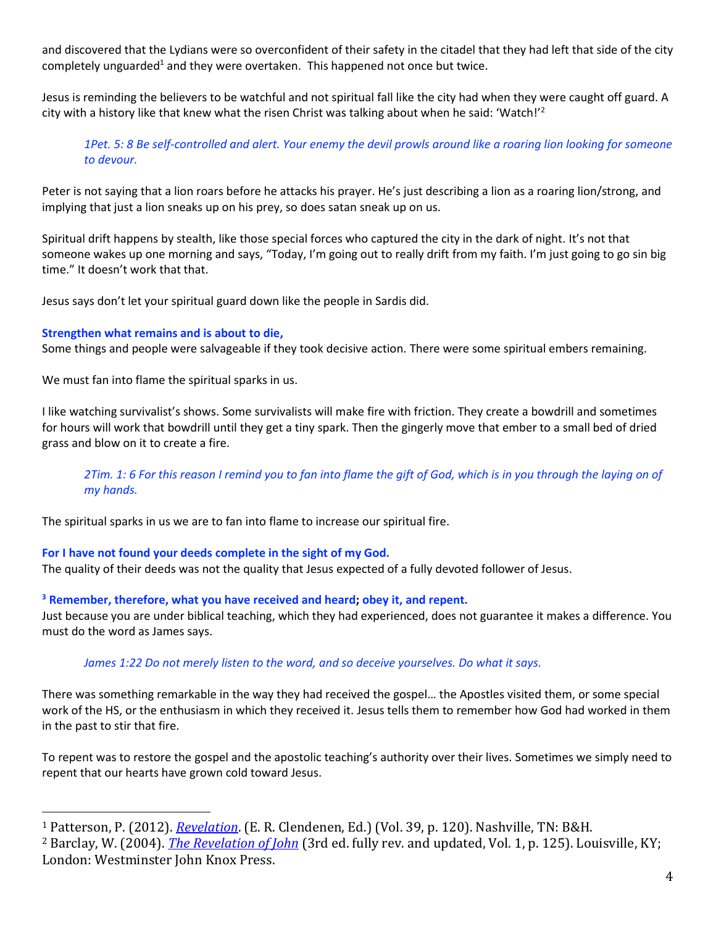and discovered that the Lydians were so overconfident of their safety in the citadel that they had left that side of the city completely unguarded<sup>1</sup> and they were overtaken. This happened not once but twice.

Jesus is reminding the believers to be watchful and not spiritual fall like the city had when they were caught off guard. A city with a history like that knew what the risen Christ was talking about when he said: 'Watch!'<sup>2</sup>

*1Pet. 5: 8 Be self-controlled and alert. Your enemy the devil prowls around like a roaring lion looking for someone to devour.*

Peter is not saying that a lion roars before he attacks his prayer. He's just describing a lion as a roaring lion/strong, and implying that just a lion sneaks up on his prey, so does satan sneak up on us.

Spiritual drift happens by stealth, like those special forces who captured the city in the dark of night. It's not that someone wakes up one morning and says, "Today, I'm going out to really drift from my faith. I'm just going to go sin big time." It doesn't work that that.

Jesus says don't let your spiritual guard down like the people in Sardis did.

## **Strengthen what remains and is about to die,**

Some things and people were salvageable if they took decisive action. There were some spiritual embers remaining.

We must fan into flame the spiritual sparks in us.

I like watching survivalist's shows. Some survivalists will make fire with friction. They create a bowdrill and sometimes for hours will work that bowdrill until they get a tiny spark. Then the gingerly move that ember to a small bed of dried grass and blow on it to create a fire.

*2Tim. 1: 6 For this reason I remind you to fan into flame the gift of God, which is in you through the laying on of my hands.*

The spiritual sparks in us we are to fan into flame to increase our spiritual fire.

# **For I have not found your deeds complete in the sight of my God.**

The quality of their deeds was not the quality that Jesus expected of a fully devoted follower of Jesus.

**<sup>3</sup> Remember, therefore, what you have received and heard; obey it, and repent.** 

Just because you are under biblical teaching, which they had experienced, does not guarantee it makes a difference. You must do the word as James says.

# *James 1:22 Do not merely listen to the word, and so deceive yourselves. Do what it says.*

There was something remarkable in the way they had received the gospel… the Apostles visited them, or some special work of the HS, or the enthusiasm in which they received it. Jesus tells them to remember how God had worked in them in the past to stir that fire.

To repent was to restore the gospel and the apostolic teaching's authority over their lives. Sometimes we simply need to repent that our hearts have grown cold toward Jesus.

<sup>1</sup> Patterson, P. (2012). *[Revelation](https://ref.ly/logosres/nac39?ref=Bible.Re3.1-6&off=6385&ctx=of+taking+the+city.+~Early+one+evening%2c+h)*. (E. R. Clendenen, Ed.) (Vol. 39, p. 120). Nashville, TN: B&H. <sup>2</sup> Barclay, W. (2004). *[The Revelation of John](https://ref.ly/logosres/ndsb87rev01?ref=Bible.Re3.1-6&off=5049&ctx=and+so+Sardis+fell.+~A+city+with+a+histor)* (3rd ed. fully rev. and updated, Vol. 1, p. 125). Louisville, KY; London: Westminster John Knox Press.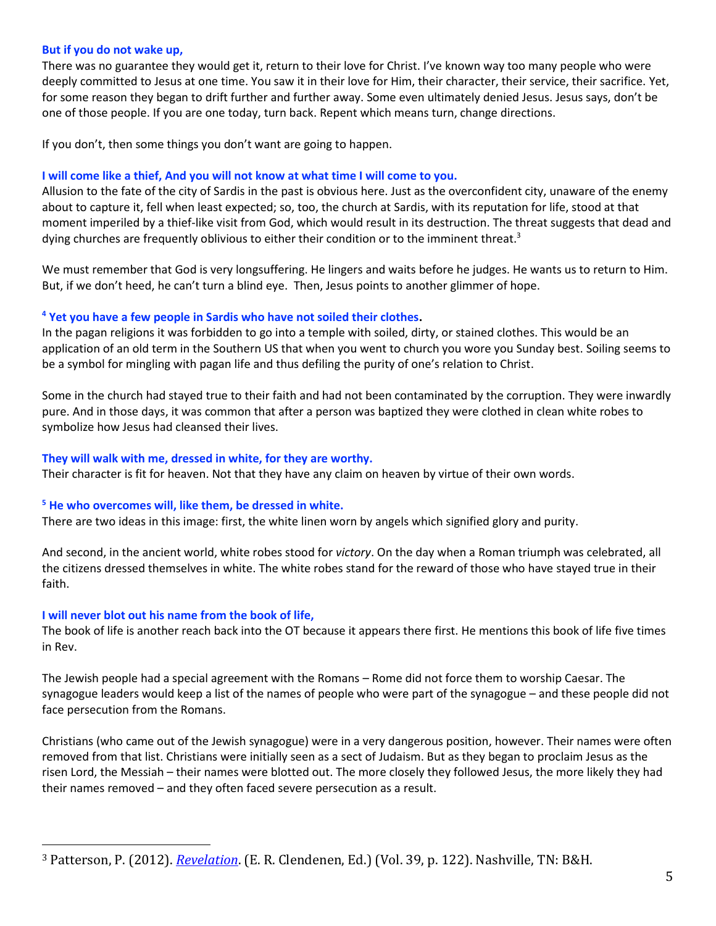### **But if you do not wake up,**

There was no guarantee they would get it, return to their love for Christ. I've known way too many people who were deeply committed to Jesus at one time. You saw it in their love for Him, their character, their service, their sacrifice. Yet, for some reason they began to drift further and further away. Some even ultimately denied Jesus. Jesus says, don't be one of those people. If you are one today, turn back. Repent which means turn, change directions.

If you don't, then some things you don't want are going to happen.

### **I will come like a thief, And you will not know at what time I will come to you.**

Allusion to the fate of the city of Sardis in the past is obvious here. Just as the overconfident city, unaware of the enemy about to capture it, fell when least expected; so, too, the church at Sardis, with its reputation for life, stood at that moment imperiled by a thief-like visit from God, which would result in its destruction. The threat suggests that dead and dying churches are frequently oblivious to either their condition or to the imminent threat.<sup>3</sup>

We must remember that God is very longsuffering. He lingers and waits before he judges. He wants us to return to Him. But, if we don't heed, he can't turn a blind eye. Then, Jesus points to another glimmer of hope.

## **<sup>4</sup> Yet you have a few people in Sardis who have not soiled their clothes.**

In the pagan religions it was forbidden to go into a temple with soiled, dirty, or stained clothes. This would be an application of an old term in the Southern US that when you went to church you wore you Sunday best. Soiling seems to be a symbol for mingling with pagan life and thus defiling the purity of one's relation to Christ.

Some in the church had stayed true to their faith and had not been contaminated by the corruption. They were inwardly pure. And in those days, it was common that after a person was baptized they were clothed in clean white robes to symbolize how Jesus had cleansed their lives.

### **They will walk with me, dressed in white, for they are worthy.**

Their character is fit for heaven. Not that they have any claim on heaven by virtue of their own words.

## **<sup>5</sup> He who overcomes will, like them, be dressed in white.**

There are two ideas in this image: first, the white linen worn by angels which signified glory and purity.

And second, in the ancient world, white robes stood for *victory*. On the day when a Roman triumph was celebrated, all the citizens dressed themselves in white. The white robes stand for the reward of those who have stayed true in their faith.

## **I will never blot out his name from the book of life,**

The book of life is another reach back into the OT because it appears there first. He mentions this book of life five times in Rev.

The Jewish people had a special agreement with the Romans – Rome did not force them to worship Caesar. The synagogue leaders would keep a list of the names of people who were part of the synagogue – and these people did not face persecution from the Romans.

Christians (who came out of the Jewish synagogue) were in a very dangerous position, however. Their names were often removed from that list. Christians were initially seen as a sect of Judaism. But as they began to proclaim Jesus as the risen Lord, the Messiah – their names were blotted out. The more closely they followed Jesus, the more likely they had their names removed – and they often faced severe persecution as a result.

<sup>3</sup> Patterson, P. (2012). *[Revelation](https://ref.ly/logosres/nac39?ref=Bible.Re3.1-3&off=4465&ctx=r+in+which+he+came.+~Allusion+to+the+fate)*. (E. R. Clendenen, Ed.) (Vol. 39, p. 122). Nashville, TN: B&H.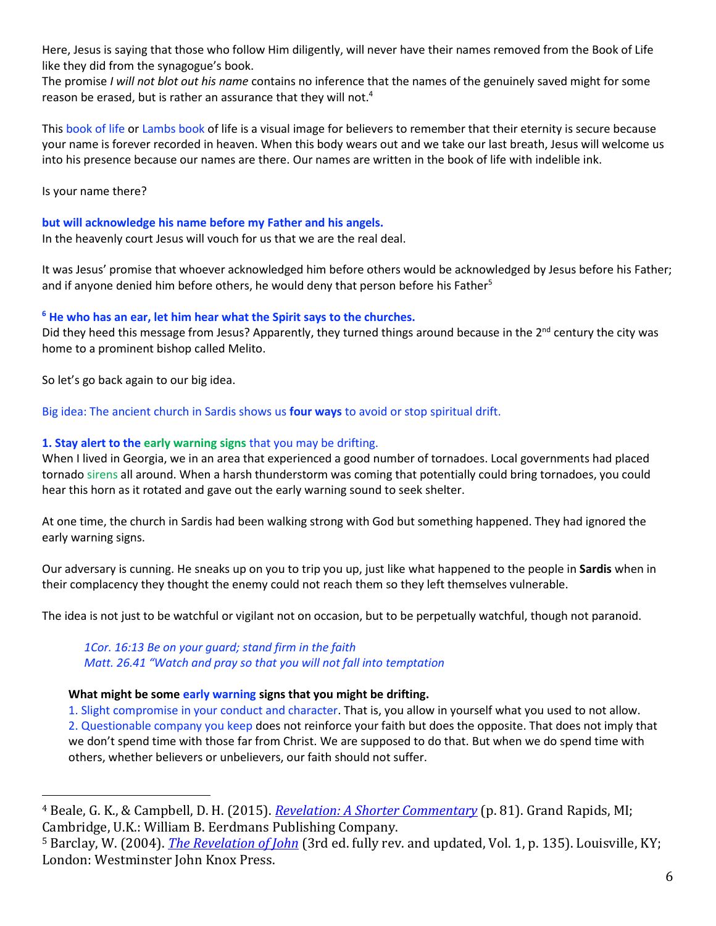Here, Jesus is saying that those who follow Him diligently, will never have their names removed from the Book of Life like they did from the synagogue's book.

The promise *I will not blot out his name* contains no inference that the names of the genuinely saved might for some reason be erased, but is rather an assurance that they will not.<sup>4</sup>

This book of life or Lambs book of life is a visual image for believers to remember that their eternity is secure because your name is forever recorded in heaven. When this body wears out and we take our last breath, Jesus will welcome us into his presence because our names are there. Our names are written in the book of life with indelible ink.

Is your name there?

**but will acknowledge his name before my Father and his angels.** 

In the heavenly court Jesus will vouch for us that we are the real deal.

It was Jesus' promise that whoever acknowledged him before others would be acknowledged by Jesus before his Father; and if anyone denied him before others, he would deny that person before his Father<sup>5</sup>

# **<sup>6</sup> He who has an ear, let him hear what the Spirit says to the churches.**

Did they heed this message from Jesus? Apparently, they turned things around because in the  $2^{nd}$  century the city was home to a prominent bishop called Melito.

So let's go back again to our big idea.

Big idea: The ancient church in Sardis shows us **four ways** to avoid or stop spiritual drift.

# **1. Stay alert to the early warning signs** that you may be drifting.

When I lived in Georgia, we in an area that experienced a good number of tornadoes. Local governments had placed tornado sirens all around. When a harsh thunderstorm was coming that potentially could bring tornadoes, you could hear this horn as it rotated and gave out the early warning sound to seek shelter.

At one time, the church in Sardis had been walking strong with God but something happened. They had ignored the early warning signs.

Our adversary is cunning. He sneaks up on you to trip you up, just like what happened to the people in **Sardis** when in their complacency they thought the enemy could not reach them so they left themselves vulnerable.

The idea is not just to be watchful or vigilant not on occasion, but to be perpetually watchful, though not paranoid.

*1Cor. 16:13 Be on your guard; stand firm in the faith Matt. 26.41 "Watch and pray so that you will not fall into temptation* 

## **What might be some early warning signs that you might be drifting.**

1. Slight compromise in your conduct and character. That is, you allow in yourself what you used to not allow. 2. Questionable company you keep does not reinforce your faith but does the opposite. That does not imply that we don't spend time with those far from Christ. We are supposed to do that. But when we do spend time with others, whether believers or unbelievers, our faith should not suffer.

<sup>4</sup> Beale, G. K., & Campbell, D. H. (2015). *[Revelation: A Shorter Commentary](https://ref.ly/logosres/rvltnshrtrcmm?ref=Bible.Re3.5-6&off=1377&ctx=+heavenly+judgment.+~The+promise+I+will+n)* (p. 81). Grand Rapids, MI; Cambridge, U.K.: William B. Eerdmans Publishing Company.

<sup>5</sup> Barclay, W. (2004). *[The Revelation of John](https://ref.ly/logosres/ndsb87rev01?ref=Bible.Re3.1-6&off=21479&ctx=her+and+the+angels.+~It+was+Jesus%E2%80%99+promis)* (3rd ed. fully rev. and updated, Vol. 1, p. 135). Louisville, KY; London: Westminster John Knox Press.